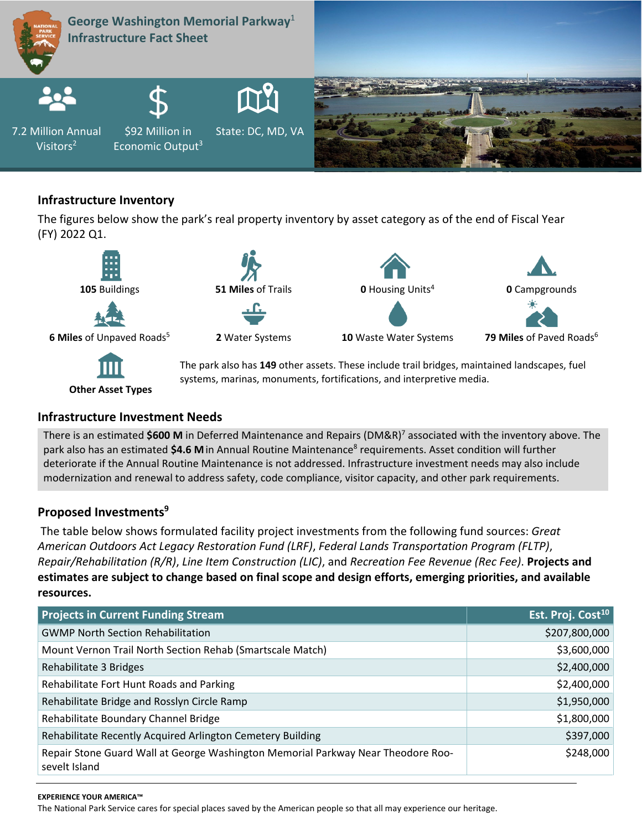

# **Infrastructure Inventory**

The figures below show the park's real property inventory by asset category as of the end of Fiscal Year (FY) 2022 Q1.



systems, marinas, monuments, fortifications, and interpretive media.

## **Infrastructure Investment Needs**

**Other Asset Types**

There is an estimated **\$600 M** in Deferred Maintenance and Repairs (DM&R)7 associated with the inventory above. The park also has an estimated \$4.6 M in Annual Routine Maintenance<sup>8</sup> requirements. Asset condition will further deteriorate if the Annual Routine Maintenance is not addressed. Infrastructure investment needs may also include modernization and renewal to address safety, code compliance, visitor capacity, and other park requirements.

# **Proposed Investments9**

The table below shows formulated facility project investments from the following fund sources: *Great American Outdoors Act Legacy Restoration Fund (LRF)*, *Federal Lands Transportation Program (FLTP)*, *Repair/Rehabilitation (R/R)*, *Line Item Construction (LIC)*, and *Recreation Fee Revenue (Rec Fee)*. **Projects and estimates are subject to change based on final scope and design efforts, emerging priorities, and available resources.**

| <b>Projects in Current Funding Stream</b>                                                         | Est. Proj. Cost <sup>10</sup> |
|---------------------------------------------------------------------------------------------------|-------------------------------|
| <b>GWMP North Section Rehabilitation</b>                                                          | \$207,800,000                 |
| Mount Vernon Trail North Section Rehab (Smartscale Match)                                         | \$3,600,000                   |
| Rehabilitate 3 Bridges                                                                            | \$2,400,000                   |
| Rehabilitate Fort Hunt Roads and Parking                                                          | \$2,400,000                   |
| Rehabilitate Bridge and Rosslyn Circle Ramp                                                       | \$1,950,000                   |
| Rehabilitate Boundary Channel Bridge                                                              | \$1,800,000                   |
| Rehabilitate Recently Acquired Arlington Cemetery Building                                        | \$397,000                     |
| Repair Stone Guard Wall at George Washington Memorial Parkway Near Theodore Roo-<br>sevelt Island | \$248,000                     |

#### **EXPERIENCE YOUR AMERICA™**

The National Park Service cares for special places saved by the American people so that all may experience our heritage.